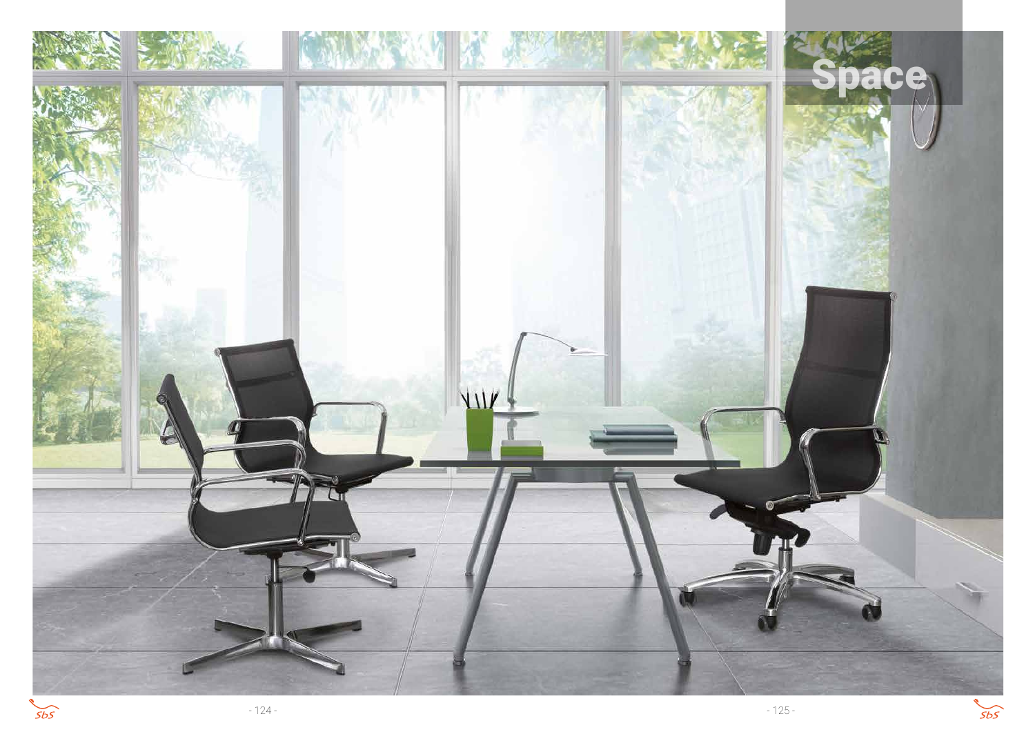



 $5b5$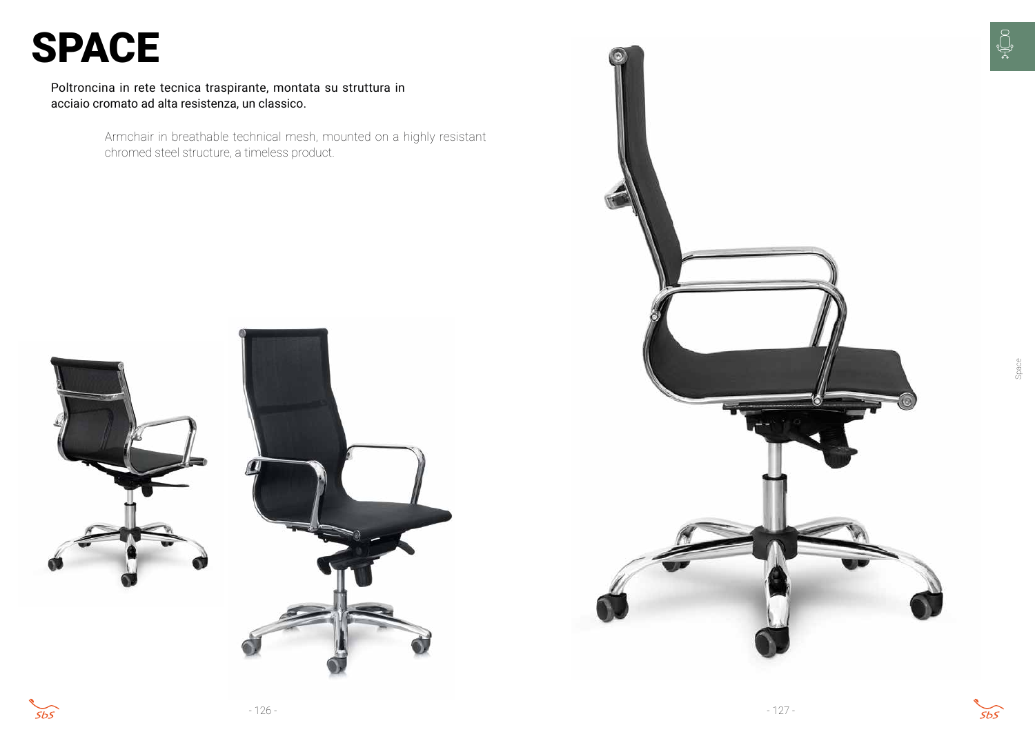

Poltroncina in rete tecnica traspirante, montata su struttura in acciaio cromato ad alta resistenza, un classico.

# SPACE

Space



Armchair in breathable technical mesh, mounted on a highly resistant chromed steel structure, a timeless product.



 $5b5$